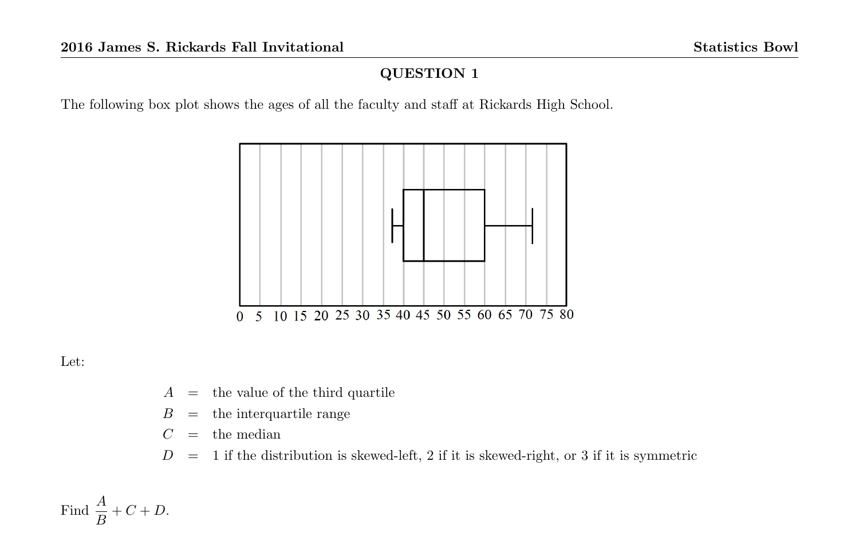The following box plot shows the ages of all the faculty and staff at Rickards High School.



Let:

- $A =$  the value of the third quartile
- $B =$  the interquartile range

 $C =$  the median

 $D = 1$  if the distribution is skewed-left, 2 if it is skewed-right, or 3 if it is symmetric

Find  $\frac{A}{B} + C + D$ .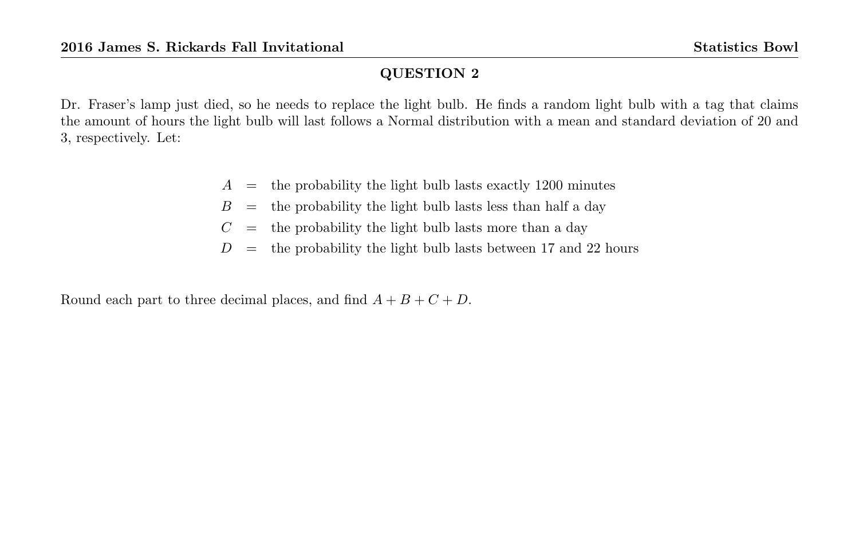Dr. Fraser's lamp just died, so he needs to replace the light bulb. He finds a random light bulb with a tag that claims the amount of hours the light bulb will last follows a Normal distribution with a mean and standard deviation of 20 and 3, respectively. Let:

- $A =$  the probability the light bulb lasts exactly 1200 minutes
- $B =$  the probability the light bulb lasts less than half a day
- $C =$  the probability the light bulb lasts more than a day
- $D =$  the probability the light bulb lasts between 17 and 22 hours

Round each part to three decimal places, and find  $A + B + C + D$ .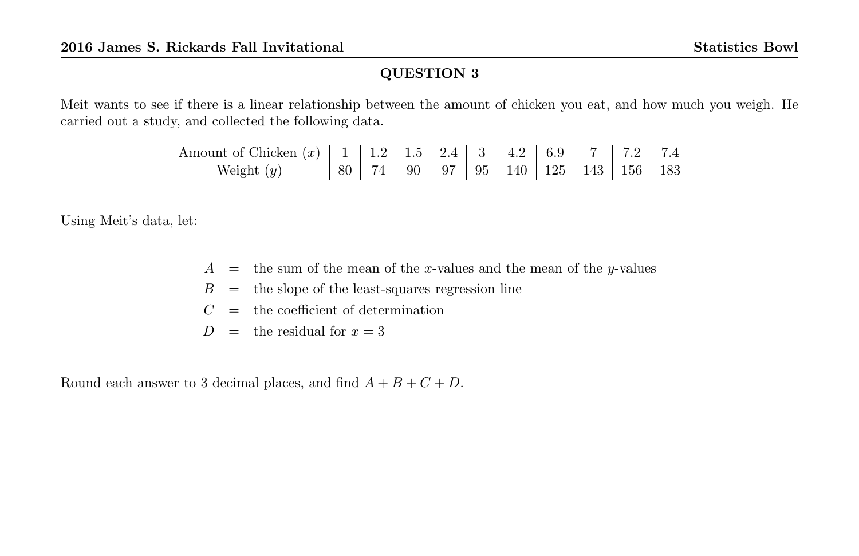Meit wants to see if there is a linear relationship between the amount of chicken you eat, and how much you weigh. He carried out a study, and collected the following data.

| $\mathbf{r}$<br>$\sim$<br>'cken<br>n.<br>הונוכ׳<br>w<br>ັ |               | . | $\tilde{\phantom{a}}$<br>⊥.∪ | --      | ິ  | I.Z<br>--- | ບ.                  |              | -<br>$\cdot$ $\sim$  | -<br>. .       |
|-----------------------------------------------------------|---------------|---|------------------------------|---------|----|------------|---------------------|--------------|----------------------|----------------|
| $\overline{u}$<br>eight<br>$\cdot$<br>$\overline{v}$      | $\circ$<br>οU | - | 90<br>$\ddot{}$              | 07<br>◡ | 95 | 40         | 25<br>٠.<br>◡<br>-- | $\sim$<br>πυ | $\sim$ $\sim$<br>190 | $\circ$<br>100 |

Using Meit's data, let:

- $A =$  the sum of the mean of the x-values and the mean of the y-values
- $B =$  the slope of the least-squares regression line
- $C =$  the coefficient of determination
- $D =$  the residual for  $x = 3$

Round each answer to 3 decimal places, and find  $A + B + C + D$ .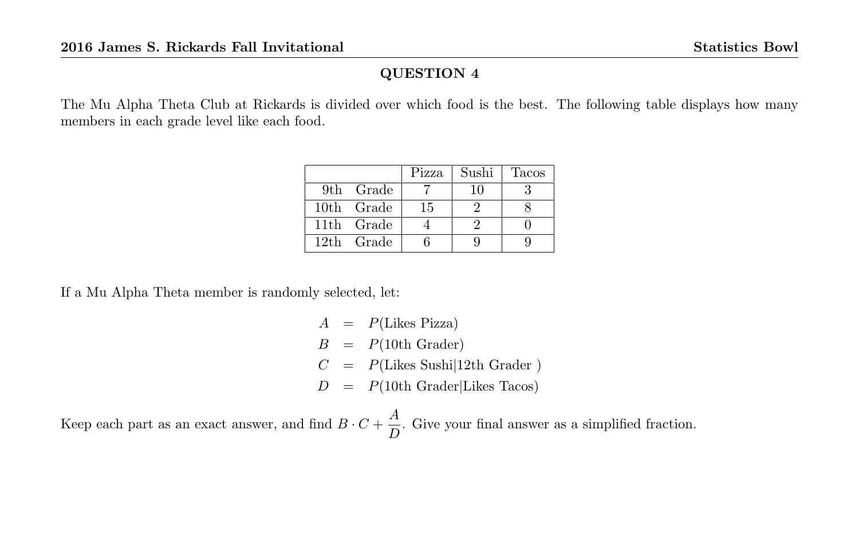The Mu Alpha Theta Club at Rickards is divided over which food is the best. The following table displays how many members in each grade level like each food.

|            | Pizza | Sushi | <b>Tacos</b> |
|------------|-------|-------|--------------|
| 9th Grade  |       | 10    |              |
| 10th Grade | 15    |       |              |
| 11th Grade |       |       |              |
| 12th Grade |       |       |              |

If a Mu Alpha Theta member is randomly selected, let:

 $A = P(Likes \text{ Pizza})$  $B = P(10th$  Grader)  $C = P(Likes Sushi|12th Grade)$  $D = P(10th Gradient)$ Likes Tacos)

Keep each part as an exact answer, and find  $B \cdot C + \frac{A}{B}$  $\frac{1}{D}$ . Give your final answer as a simplified fraction.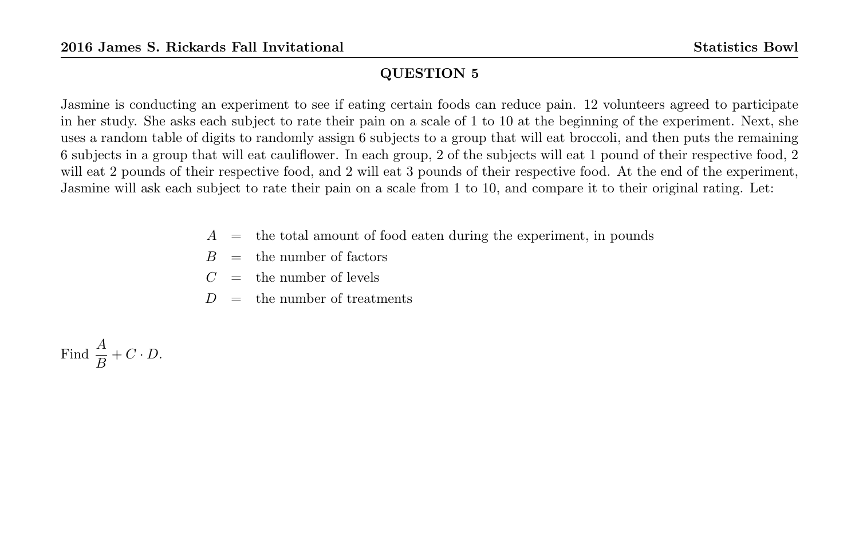Jasmine is conducting an experiment to see if eating certain foods can reduce pain. 12 volunteers agreed to participate in her study. She asks each subject to rate their pain on a scale of 1 to 10 at the beginning of the experiment. Next, she uses a random table of digits to randomly assign 6 subjects to a group that will eat broccoli, and then puts the remaining 6 subjects in a group that will eat cauliflower. In each group, 2 of the subjects will eat 1 pound of their respective food, 2 will eat 2 pounds of their respective food, and 2 will eat 3 pounds of their respective food. At the end of the experiment, Jasmine will ask each subject to rate their pain on a scale from 1 to 10, and compare it to their original rating. Let:

- $A =$  the total amount of food eaten during the experiment, in pounds
- $B =$  the number of factors
- $C =$  the number of levels
- $D =$  the number of treatments

Find 
$$
\frac{A}{B} + C \cdot D
$$
.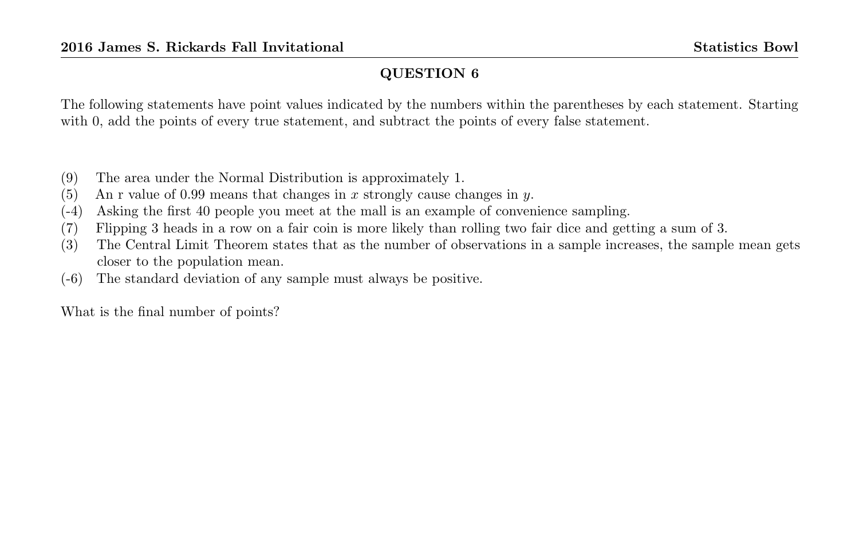The following statements have point values indicated by the numbers within the parentheses by each statement. Starting with 0, add the points of every true statement, and subtract the points of every false statement.

- (9) The area under the Normal Distribution is approximately 1.
- (5) An r value of 0.99 means that changes in x strongly cause changes in y.
- (-4) Asking the first 40 people you meet at the mall is an example of convenience sampling.
- (7) Flipping 3 heads in a row on a fair coin is more likely than rolling two fair dice and getting a sum of 3.
- (3) The Central Limit Theorem states that as the number of observations in a sample increases, the sample mean gets closer to the population mean.
- (-6) The standard deviation of any sample must always be positive.

What is the final number of points?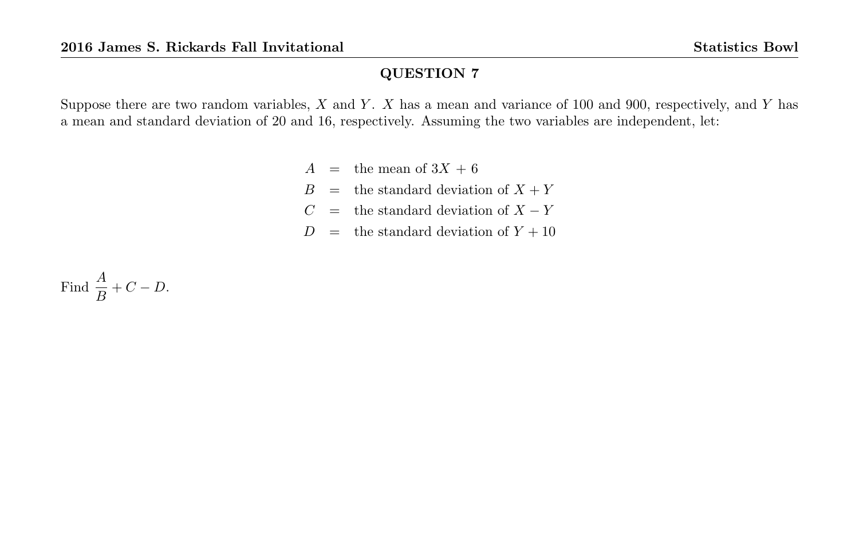Suppose there are two random variables,  $X$  and  $Y$ .  $X$  has a mean and variance of 100 and 900, respectively, and  $Y$  has a mean and standard deviation of 20 and 16, respectively. Assuming the two variables are independent, let:

- $A =$  the mean of  $3X + 6$
- $B =$  the standard deviation of  $X + Y$
- $C =$  the standard deviation of  $X Y$
- $D =$  the standard deviation of  $Y + 10$

Find  $\frac{A}{B} + C - D$ .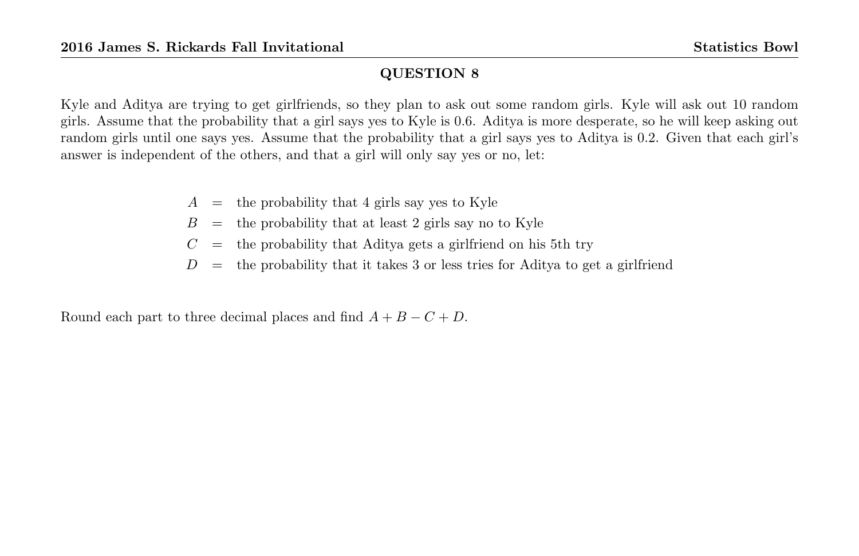Kyle and Aditya are trying to get girlfriends, so they plan to ask out some random girls. Kyle will ask out 10 random girls. Assume that the probability that a girl says yes to Kyle is 0.6. Aditya is more desperate, so he will keep asking out random girls until one says yes. Assume that the probability that a girl says yes to Aditya is 0.2. Given that each girl's answer is independent of the others, and that a girl will only say yes or no, let:

- $A =$  the probability that 4 girls say yes to Kyle
- $B =$  the probability that at least 2 girls say no to Kyle
- $C =$  the probability that Aditya gets a girlfriend on his 5th try
- $D =$  the probability that it takes 3 or less tries for Aditya to get a girlfriend

Round each part to three decimal places and find  $A + B - C + D$ .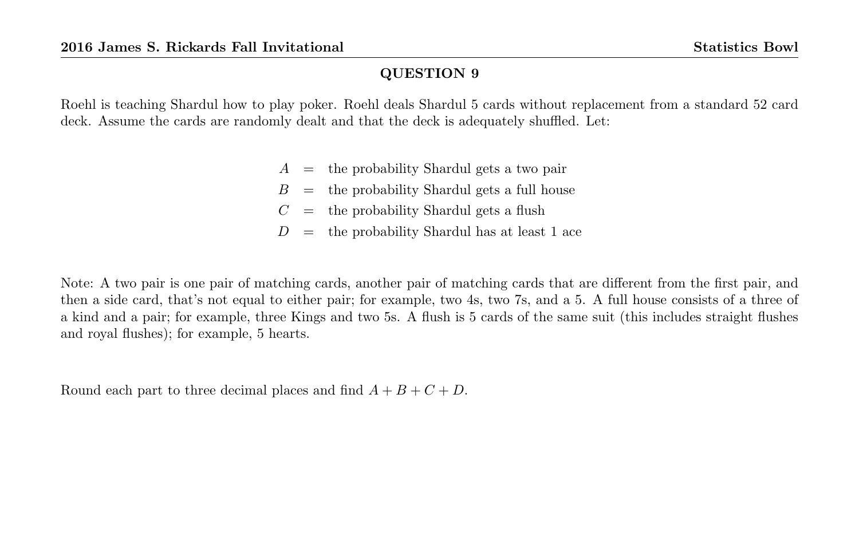Roehl is teaching Shardul how to play poker. Roehl deals Shardul 5 cards without replacement from a standard 52 card deck. Assume the cards are randomly dealt and that the deck is adequately shuffled. Let:

- $A =$  the probability Shardul gets a two pair
- $B =$  the probability Shardul gets a full house
- $C =$  the probability Shardul gets a flush
- $D =$  the probability Shardul has at least 1 ace

Note: A two pair is one pair of matching cards, another pair of matching cards that are different from the first pair, and then a side card, that's not equal to either pair; for example, two 4s, two 7s, and a 5. A full house consists of a three of a kind and a pair; for example, three Kings and two 5s. A flush is 5 cards of the same suit (this includes straight flushes and royal flushes); for example, 5 hearts.

Round each part to three decimal places and find  $A + B + C + D$ .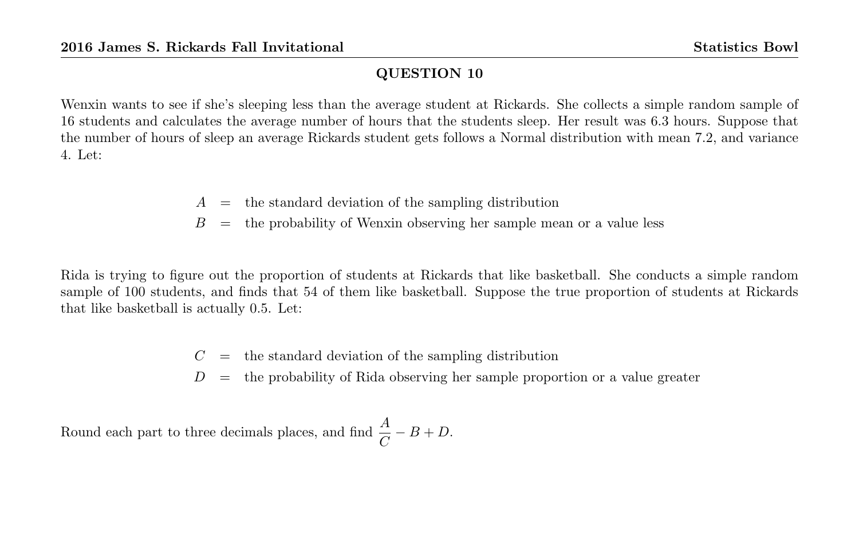Wenxin wants to see if she's sleeping less than the average student at Rickards. She collects a simple random sample of 16 students and calculates the average number of hours that the students sleep. Her result was 6.3 hours. Suppose that the number of hours of sleep an average Rickards student gets follows a Normal distribution with mean 7.2, and variance 4. Let:

- $A =$  the standard deviation of the sampling distribution
- $B =$  the probability of Wenxin observing her sample mean or a value less

Rida is trying to figure out the proportion of students at Rickards that like basketball. She conducts a simple random sample of 100 students, and finds that 54 of them like basketball. Suppose the true proportion of students at Rickards that like basketball is actually 0.5. Let:

- $C =$  the standard deviation of the sampling distribution
- $D =$  the probability of Rida observing her sample proportion or a value greater

Round each part to three decimals places, and find  $\frac{A}{C} - B + D$ .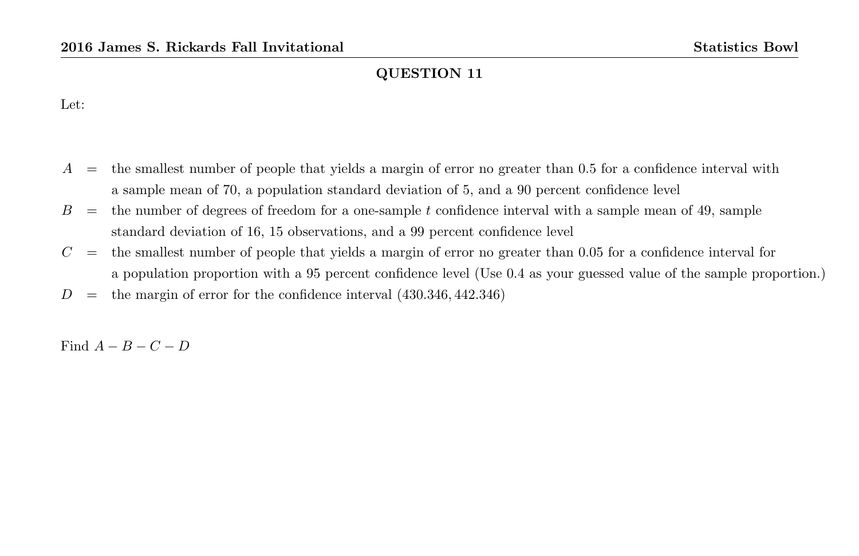Let:

- $A =$  the smallest number of people that yields a margin of error no greater than 0.5 for a confidence interval with a sample mean of 70, a population standard deviation of 5, and a 90 percent confidence level
- $B =$  the number of degrees of freedom for a one-sample t confidence interval with a sample mean of 49, sample standard deviation of 16, 15 observations, and a 99 percent confidence level
- $C =$  the smallest number of people that yields a margin of error no greater than 0.05 for a confidence interval for a population proportion with a 95 percent confidence level (Use 0.4 as your guessed value of the sample proportion.)
- $D =$  the margin of error for the confidence interval  $(430.346, 442.346)$

Find  $A - B - C - D$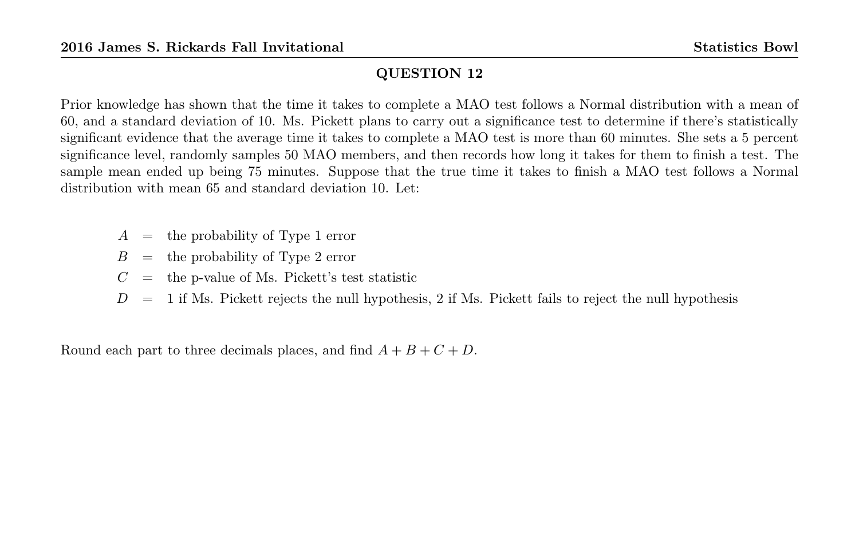Prior knowledge has shown that the time it takes to complete a MAO test follows a Normal distribution with a mean of 60, and a standard deviation of 10. Ms. Pickett plans to carry out a significance test to determine if there's statistically significant evidence that the average time it takes to complete a MAO test is more than 60 minutes. She sets a 5 percent significance level, randomly samples 50 MAO members, and then records how long it takes for them to finish a test. The sample mean ended up being 75 minutes. Suppose that the true time it takes to finish a MAO test follows a Normal distribution with mean 65 and standard deviation 10. Let:

- $A =$  the probability of Type 1 error
- $B =$  the probability of Type 2 error
- $C =$  the p-value of Ms. Pickett's test statistic
- $D = 1$  if Ms. Pickett rejects the null hypothesis, 2 if Ms. Pickett fails to reject the null hypothesis

Round each part to three decimals places, and find  $A + B + C + D$ .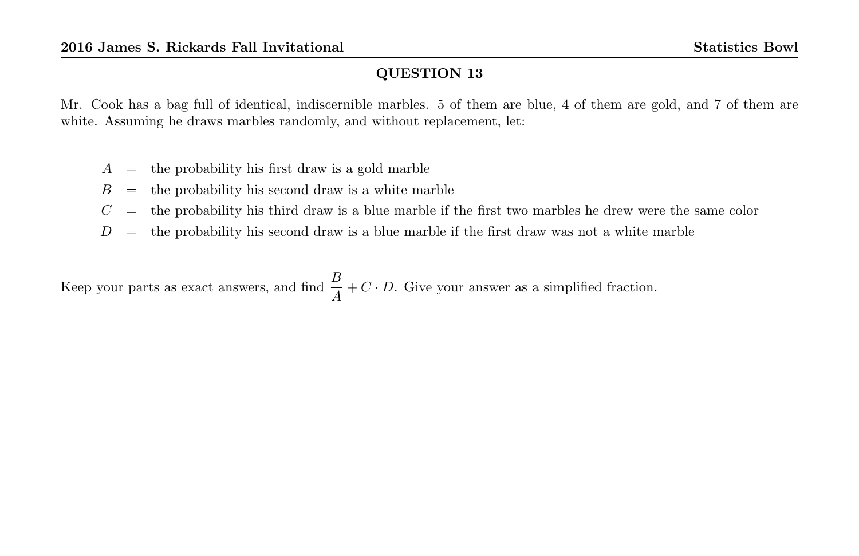Mr. Cook has a bag full of identical, indiscernible marbles. 5 of them are blue, 4 of them are gold, and 7 of them are white. Assuming he draws marbles randomly, and without replacement, let:

- $A =$  the probability his first draw is a gold marble
- $B =$  the probability his second draw is a white marble
- $C =$  the probability his third draw is a blue marble if the first two marbles he drew were the same color
- $D =$  the probability his second draw is a blue marble if the first draw was not a white marble

Keep your parts as exact answers, and find  $\frac{B}{A} + C \cdot D$ . Give your answer as a simplified fraction.